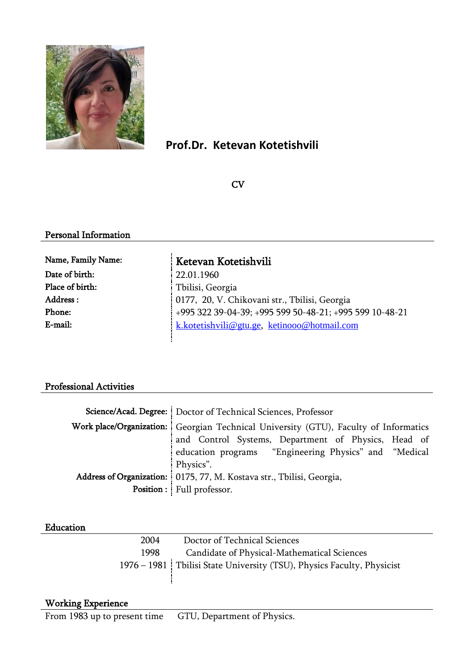

# **Prof.Dr. Ketevan Kotetishvili**

CV

### Personal Information

| <b>Name, Family Name:</b> | Ketevan Kotetishvili                                    |
|---------------------------|---------------------------------------------------------|
| Date of birth:            | 22.01.1960                                              |
| Place of birth:           | Tbilisi, Georgia                                        |
| Address :                 | 0177, 20, V. Chikovani str., Tbilisi, Georgia           |
| <b>Phone:</b>             | +995 322 39-04-39; +995 599 50-48-21; +995 599 10-48-21 |
| E-mail:                   | k.kotetishvili@gtu.ge, ketinooo@hotmail.com             |
|                           |                                                         |

#### Professional Activities

| Science/Acad. Degree:   Doctor of Technical Sciences, Professor                      |
|--------------------------------------------------------------------------------------|
| Work place/Organization: Georgian Technical University (GTU), Faculty of Informatics |
| and Control Systems, Department of Physics, Head of                                  |
| education programs "Engineering Physics" and "Medical                                |
| Physics".                                                                            |
| Address of Organization: 0175, 77, M. Kostava str., Tbilisi, Georgia,                |
| Position : Full professor.                                                           |

### Education

| 2004 | Doctor of Technical Sciences                                             |
|------|--------------------------------------------------------------------------|
| 1998 | Candidate of Physical-Mathematical Sciences                              |
|      | 1976 – 1981   Tbilisi State University (TSU), Physics Faculty, Physicist |
|      |                                                                          |

## Working Experience

From 1983 up to present time GTU, Department of Physics.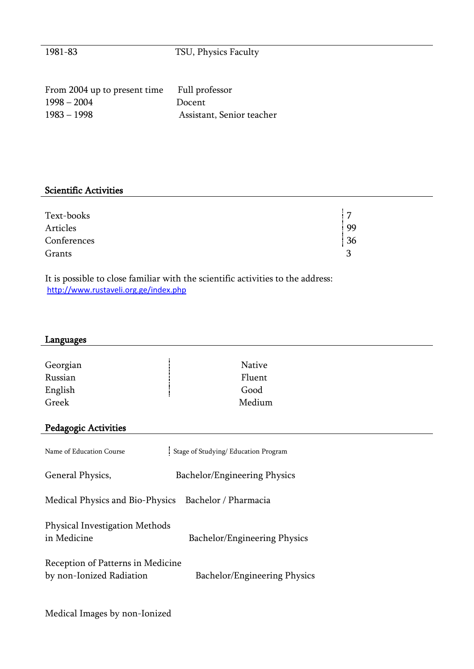## 1981-83 TSU, Physics Faculty

| From 2004 up to present time | Full professor            |
|------------------------------|---------------------------|
| $1998 - 2004$                | Docent                    |
| $1983 - 1998$                | Assistant, Senior teacher |

#### Scientific Activities

| Text-books  | $\overline{ }$ |
|-------------|----------------|
| Articles    | -99            |
| Conferences | 36             |
| Grants      |                |

It is possible to close familiar with the scientific activities to the address: <http://www.rustaveli.org.ge/index.php>

| Languages                         |                                      |
|-----------------------------------|--------------------------------------|
|                                   |                                      |
| Georgian                          | Native                               |
| Russian                           | Fluent                               |
| English                           | Good                                 |
| Greek                             | Medium                               |
|                                   |                                      |
| <b>Pedagogic Activities</b>       |                                      |
|                                   |                                      |
| Name of Education Course          | Stage of Studying/ Education Program |
|                                   |                                      |
| General Physics,                  | Bachelor/Engineering Physics         |
|                                   |                                      |
| Medical Physics and Bio-Physics   | Bachelor / Pharmacia                 |
|                                   |                                      |
| Physical Investigation Methods    |                                      |
| in Medicine                       | Bachelor/Engineering Physics         |
|                                   |                                      |
| Reception of Patterns in Medicine |                                      |
| by non-Ionized Radiation          | Bachelor/Engineering Physics         |
|                                   |                                      |
|                                   |                                      |

Medical Images by non-Ionized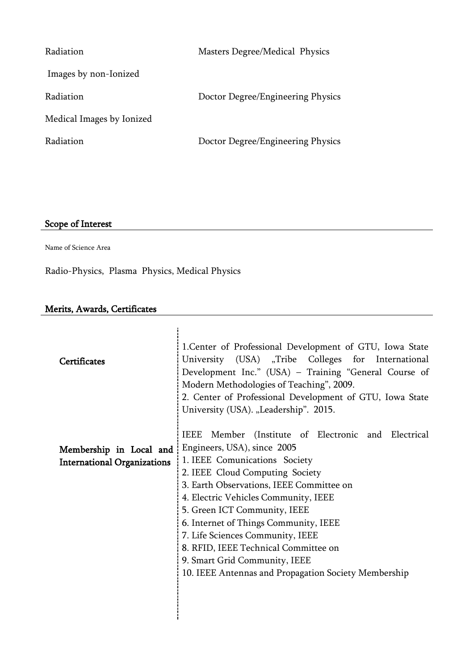| Masters Degree/Medical Physics    |
|-----------------------------------|
|                                   |
| Doctor Degree/Engineering Physics |
|                                   |
| Doctor Degree/Engineering Physics |
|                                   |

# Scope of Interest

Name of Science Area

Radio-Physics, Plasma Physics, Medical Physics

## Merits, Awards, Certificates

| Certificates                                                  | 1. Center of Professional Development of GTU, Iowa State<br>University (USA) "Tribe Colleges for International<br>Development Inc." (USA) - Training "General Course of<br>Modern Methodologies of Teaching", 2009.<br>2. Center of Professional Development of GTU, Iowa State<br>University (USA). "Leadership". 2015.                                                                                                                                                                           |
|---------------------------------------------------------------|----------------------------------------------------------------------------------------------------------------------------------------------------------------------------------------------------------------------------------------------------------------------------------------------------------------------------------------------------------------------------------------------------------------------------------------------------------------------------------------------------|
| Membership in Local and<br><b>International Organizations</b> | Member (Institute of Electronic and Electrical<br><b>IEEE</b><br>Engineers, USA), since 2005<br>1. IEEE Comunications Society<br>2. IEEE Cloud Computing Society<br>3. Earth Observations, IEEE Committee on<br>4. Electric Vehicles Community, IEEE<br>5. Green ICT Community, IEEE<br>6. Internet of Things Community, IEEE<br>7. Life Sciences Community, IEEE<br>8. RFID, IEEE Technical Committee on<br>9. Smart Grid Community, IEEE<br>10. IEEE Antennas and Propagation Society Membership |